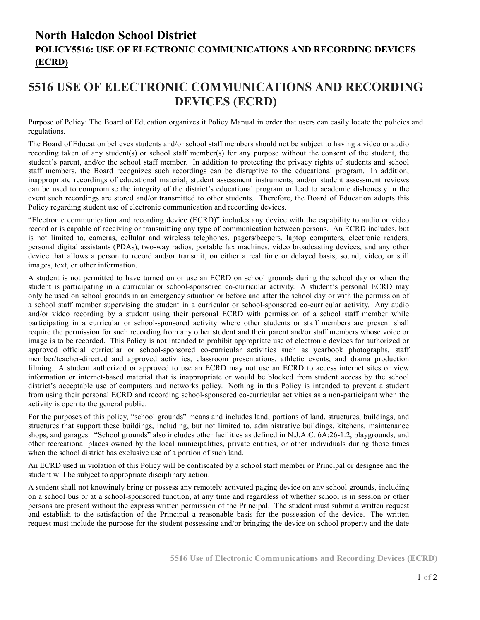## **North Haledon School District POLICY5516: USE OF ELECTRONIC COMMUNICATIONS AND RECORDING DEVICES (ECRD)**

## **5516 USE OF ELECTRONIC COMMUNICATIONS AND RECORDING DEVICES (ECRD)**

Purpose of Policy: The Board of Education organizes it Policy Manual in order that users can easily locate the policies and regulations.

The Board of Education believes students and/or school staff members should not be subject to having a video or audio recording taken of any student(s) or school staff member(s) for any purpose without the consent of the student, the student's parent, and/or the school staff member. In addition to protecting the privacy rights of students and school staff members, the Board recognizes such recordings can be disruptive to the educational program. In addition, inappropriate recordings of educational material, student assessment instruments, and/or student assessment reviews can be used to compromise the integrity of the district's educational program or lead to academic dishonesty in the event such recordings are stored and/or transmitted to other students. Therefore, the Board of Education adopts this Policy regarding student use of electronic communication and recording devices.

"Electronic communication and recording device (ECRD)" includes any device with the capability to audio or video record or is capable of receiving or transmitting any type of communication between persons. An ECRD includes, but is not limited to, cameras, cellular and wireless telephones, pagers/beepers, laptop computers, electronic readers, personal digital assistants (PDAs), two-way radios, portable fax machines, video broadcasting devices, and any other device that allows a person to record and/or transmit, on either a real time or delayed basis, sound, video, or still images, text, or other information.

A student is not permitted to have turned on or use an ECRD on school grounds during the school day or when the student is participating in a curricular or school-sponsored co-curricular activity. A student's personal ECRD may only be used on school grounds in an emergency situation or before and after the school day or with the permission of a school staff member supervising the student in a curricular or school-sponsored co-curricular activity. Any audio and/or video recording by a student using their personal ECRD with permission of a school staff member while participating in a curricular or school-sponsored activity where other students or staff members are present shall require the permission for such recording from any other student and their parent and/or staff members whose voice or image is to be recorded. This Policy is not intended to prohibit appropriate use of electronic devices for authorized or approved official curricular or school-sponsored co-curricular activities such as yearbook photographs, staff member/teacher-directed and approved activities, classroom presentations, athletic events, and drama production filming. A student authorized or approved to use an ECRD may not use an ECRD to access internet sites or view information or internet-based material that is inappropriate or would be blocked from student access by the school district's acceptable use of computers and networks policy. Nothing in this Policy is intended to prevent a student from using their personal ECRD and recording school-sponsored co-curricular activities as a non-participant when the activity is open to the general public.

For the purposes of this policy, "school grounds" means and includes land, portions of land, structures, buildings, and structures that support these buildings, including, but not limited to, administrative buildings, kitchens, maintenance shops, and garages. "School grounds" also includes other facilities as defined in N.J.A.C. 6A:26-1.2, playgrounds, and other recreational places owned by the local municipalities, private entities, or other individuals during those times when the school district has exclusive use of a portion of such land.

An ECRD used in violation of this Policy will be confiscated by a school staff member or Principal or designee and the student will be subject to appropriate disciplinary action.

A student shall not knowingly bring or possess any remotely activated paging device on any school grounds, including on a school bus or at a school-sponsored function, at any time and regardless of whether school is in session or other persons are present without the express written permission of the Principal. The student must submit a written request and establish to the satisfaction of the Principal a reasonable basis for the possession of the device. The written request must include the purpose for the student possessing and/or bringing the device on school property and the date